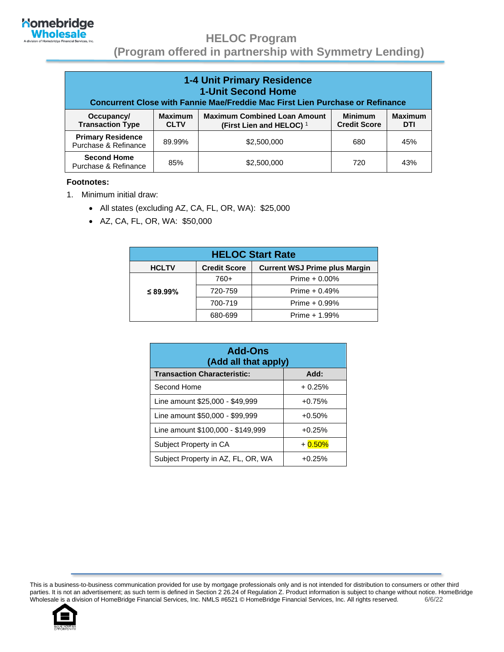

#### **HELOC Program**

 **(Program offered in partnership with Symmetry Lending)**

| <b>1-4 Unit Primary Residence</b><br><b>1-Unit Second Home</b><br>Concurrent Close with Fannie Mae/Freddie Mac First Lien Purchase or Refinance |                               |                                                                            |                                       |                       |
|-------------------------------------------------------------------------------------------------------------------------------------------------|-------------------------------|----------------------------------------------------------------------------|---------------------------------------|-----------------------|
| Occupancy/<br><b>Transaction Type</b>                                                                                                           | <b>Maximum</b><br><b>CLTV</b> | <b>Maximum Combined Loan Amount</b><br>(First Lien and HELOC) <sup>1</sup> | <b>Minimum</b><br><b>Credit Score</b> | <b>Maximum</b><br>DTI |
| <b>Primary Residence</b><br>Purchase & Refinance                                                                                                | 89.99%                        | \$2,500,000                                                                | 680                                   | 45%                   |
| <b>Second Home</b><br>Purchase & Refinance                                                                                                      | 85%                           | \$2,500,000                                                                | 720                                   | 43%                   |

#### **Footnotes:**

- 1. Minimum initial draw:
	- All states (excluding AZ, CA, FL, OR, WA): \$25,000
	- AZ, CA, FL, OR, WA: \$50,000

| <b>HELOC Start Rate</b> |                     |                                      |  |
|-------------------------|---------------------|--------------------------------------|--|
| <b>HCLTV</b>            | <b>Credit Score</b> | <b>Current WSJ Prime plus Margin</b> |  |
|                         | 760+                | Prime $+0.00%$                       |  |
| $\leq$ 89.99%           | 720-759             | Prime $+ 0.49%$                      |  |
|                         | 700-719             | Prime $+0.99%$                       |  |
|                         | 680-699             | Prime + 1.99%                        |  |

| <b>Add-Ons</b><br>(Add all that apply) |          |
|----------------------------------------|----------|
| <b>Transaction Characteristic:</b>     | Add:     |
| Second Home                            | $+0.25%$ |
| Line amount \$25,000 - \$49,999        | $+0.75%$ |
| Line amount \$50,000 - \$99,999        | $+0.50%$ |
| Line amount \$100,000 - \$149,999      | $+0.25%$ |
| Subject Property in CA                 | $+0.50%$ |
| Subject Property in AZ, FL, OR, WA     | $+0.25%$ |

This is a business-to-business communication provided for use by mortgage professionals only and is not intended for distribution to consumers or other third parties. It is not an advertisement; as such term is defined in Section 2 26.24 of Regulation Z. Product information is subject to change without notice. HomeBridge Wholesale is a division of HomeBridge Financial Services, Inc. NMLS #6521 © HomeBridge Financial Services, Inc. All rights reserved. 6/6/22

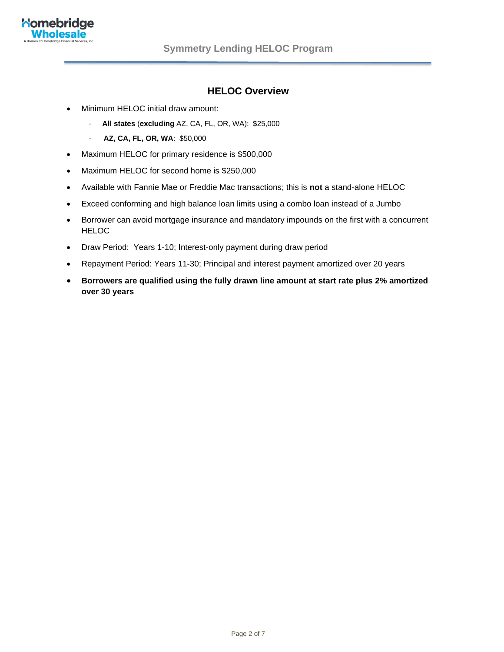

#### **HELOC Overview**

- Minimum HELOC initial draw amount:
	- **All states** (**excluding** AZ, CA, FL, OR, WA): \$25,000
	- **AZ, CA, FL, OR, WA**: \$50,000
- Maximum HELOC for primary residence is \$500,000
- Maximum HELOC for second home is \$250,000
- Available with Fannie Mae or Freddie Mac transactions; this is **not** a stand-alone HELOC
- Exceed conforming and high balance loan limits using a combo loan instead of a Jumbo
- Borrower can avoid mortgage insurance and mandatory impounds on the first with a concurrent HELOC
- Draw Period: Years 1-10; Interest-only payment during draw period
- Repayment Period: Years 11-30; Principal and interest payment amortized over 20 years
- **Borrowers are qualified using the fully drawn line amount at start rate plus 2% amortized over 30 years**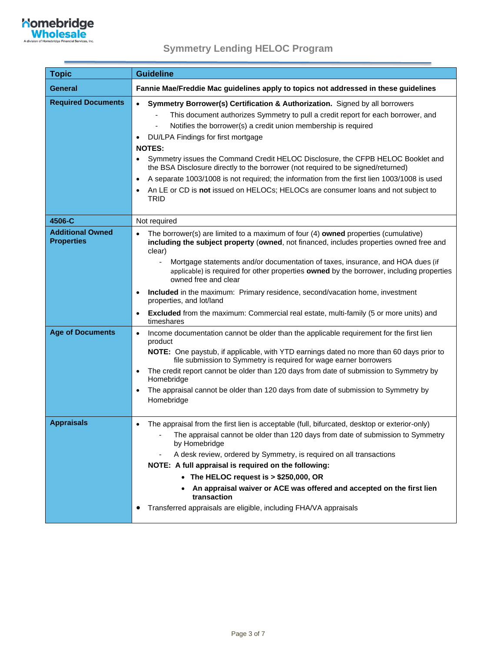

٠

| <b>Topic</b>                                                            | <b>Guideline</b>                                                                                                                                                                                                                                                                                                                                                                                                                                                                                                                                                                                                                                                                                                                                                                                                                                                                                                        |
|-------------------------------------------------------------------------|-------------------------------------------------------------------------------------------------------------------------------------------------------------------------------------------------------------------------------------------------------------------------------------------------------------------------------------------------------------------------------------------------------------------------------------------------------------------------------------------------------------------------------------------------------------------------------------------------------------------------------------------------------------------------------------------------------------------------------------------------------------------------------------------------------------------------------------------------------------------------------------------------------------------------|
| <b>General</b>                                                          | Fannie Mae/Freddie Mac guidelines apply to topics not addressed in these guidelines                                                                                                                                                                                                                                                                                                                                                                                                                                                                                                                                                                                                                                                                                                                                                                                                                                     |
| <b>Required Documents</b>                                               | Symmetry Borrower(s) Certification & Authorization. Signed by all borrowers<br>$\bullet$<br>This document authorizes Symmetry to pull a credit report for each borrower, and<br>Notifies the borrower(s) a credit union membership is required<br>DU/LPA Findings for first mortgage<br>$\bullet$<br><b>NOTES:</b><br>Symmetry issues the Command Credit HELOC Disclosure, the CFPB HELOC Booklet and<br>the BSA Disclosure directly to the borrower (not required to be signed/returned)<br>A separate 1003/1008 is not required; the information from the first lien 1003/1008 is used<br>$\bullet$<br>An LE or CD is not issued on HELOCs; HELOCs are consumer loans and not subject to<br>TRID                                                                                                                                                                                                                      |
| 4506-C                                                                  | Not required                                                                                                                                                                                                                                                                                                                                                                                                                                                                                                                                                                                                                                                                                                                                                                                                                                                                                                            |
| <b>Additional Owned</b><br><b>Properties</b><br><b>Age of Documents</b> | The borrower(s) are limited to a maximum of four (4) owned properties (cumulative)<br>including the subject property (owned, not financed, includes properties owned free and<br>clear)<br>Mortgage statements and/or documentation of taxes, insurance, and HOA dues (if<br>applicable) is required for other properties owned by the borrower, including properties<br>owned free and clear<br>Included in the maximum: Primary residence, second/vacation home, investment<br>properties, and lot/land<br><b>Excluded</b> from the maximum: Commercial real estate, multi-family (5 or more units) and<br>$\bullet$<br>timeshares<br>Income documentation cannot be older than the applicable requirement for the first lien<br>$\bullet$<br>product<br>NOTE: One paystub, if applicable, with YTD earnings dated no more than 60 days prior to<br>file submission to Symmetry is required for wage earner borrowers |
|                                                                         | The credit report cannot be older than 120 days from date of submission to Symmetry by<br>Homebridge<br>The appraisal cannot be older than 120 days from date of submission to Symmetry by<br>$\bullet$<br>Homebridge                                                                                                                                                                                                                                                                                                                                                                                                                                                                                                                                                                                                                                                                                                   |
| <b>Appraisals</b>                                                       | The appraisal from the first lien is acceptable (full, bifurcated, desktop or exterior-only)<br>$\bullet$<br>The appraisal cannot be older than 120 days from date of submission to Symmetry<br>by Homebridge<br>A desk review, ordered by Symmetry, is required on all transactions<br>NOTE: A full appraisal is required on the following:<br>• The HELOC request is > \$250,000, OR<br>An appraisal waiver or ACE was offered and accepted on the first lien<br>transaction<br>Transferred appraisals are eligible, including FHA/VA appraisals<br>$\bullet$                                                                                                                                                                                                                                                                                                                                                         |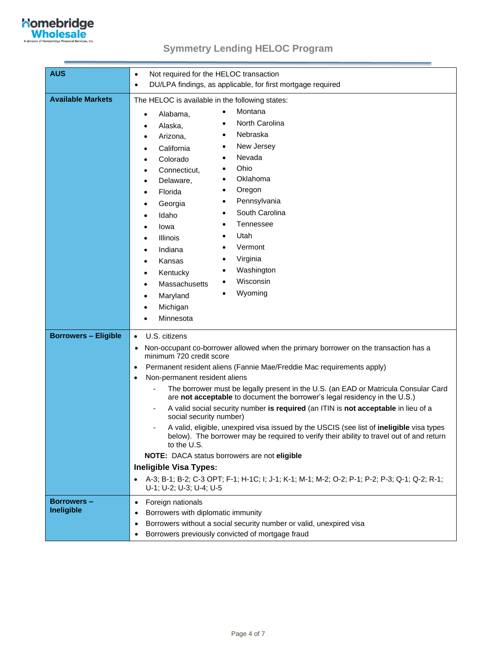

| <b>AUS</b>                      | Not required for the HELOC transaction<br>$\bullet$                                                                                                                                                                                                                                                                                                                                                                                                                                                                                                                                                                                                                                                                                                                                                                                                                                                                                                                                                     |
|---------------------------------|---------------------------------------------------------------------------------------------------------------------------------------------------------------------------------------------------------------------------------------------------------------------------------------------------------------------------------------------------------------------------------------------------------------------------------------------------------------------------------------------------------------------------------------------------------------------------------------------------------------------------------------------------------------------------------------------------------------------------------------------------------------------------------------------------------------------------------------------------------------------------------------------------------------------------------------------------------------------------------------------------------|
|                                 | DU/LPA findings, as applicable, for first mortgage required<br>$\bullet$                                                                                                                                                                                                                                                                                                                                                                                                                                                                                                                                                                                                                                                                                                                                                                                                                                                                                                                                |
| <b>Available Markets</b>        | The HELOC is available in the following states:<br>Montana<br>$\bullet$<br>Alabama.<br>$\bullet$<br>North Carolina<br>Alaska,<br>Nebraska<br>Arizona,<br>٠<br>New Jersey<br>٠<br>California<br>Nevada<br>Colorado<br>Ohio<br>Connecticut,<br>Oklahoma<br>Delaware,<br>Oregon<br>Florida<br>Pennsylvania<br>Georgia<br>South Carolina<br>Idaho<br>Tennessee<br>lowa<br>Utah<br><b>Illinois</b><br>Vermont<br>Indiana<br>Virginia<br>Kansas<br>Washington<br>Kentucky<br>Wisconsin<br>Massachusetts<br>Wyoming<br>٠<br>Maryland<br>Michigan<br>Minnesota                                                                                                                                                                                                                                                                                                                                                                                                                                                  |
| <b>Borrowers - Eligible</b>     | U.S. citizens<br>$\bullet$<br>Non-occupant co-borrower allowed when the primary borrower on the transaction has a<br>$\bullet$<br>minimum 720 credit score<br>Permanent resident aliens (Fannie Mae/Freddie Mac requirements apply)<br>$\bullet$<br>Non-permanent resident aliens<br>$\bullet$<br>The borrower must be legally present in the U.S. (an EAD or Matricula Consular Card<br>are not acceptable to document the borrower's legal residency in the U.S.)<br>A valid social security number is required (an ITIN is not acceptable in lieu of a<br>social security number)<br>A valid, eligible, unexpired visa issued by the USCIS (see list of ineligible visa types<br>below). The borrower may be required to verify their ability to travel out of and return<br>to the U.S.<br>NOTE: DACA status borrowers are not eligible<br><b>Ineligible Visa Types:</b><br>A-3; B-1; B-2; C-3 OPT; F-1; H-1C; I; J-1; K-1; M-1; M-2; O-2; P-1; P-2; P-3; Q-1; Q-2; R-1;<br>U-1; U-2; U-3; U-4; U-5 |
| <b>Borrowers-</b><br>Ineligible | Foreign nationals<br>$\bullet$<br>Borrowers with diplomatic immunity<br>٠<br>Borrowers without a social security number or valid, unexpired visa<br>$\bullet$<br>Borrowers previously convicted of mortgage fraud<br>$\bullet$                                                                                                                                                                                                                                                                                                                                                                                                                                                                                                                                                                                                                                                                                                                                                                          |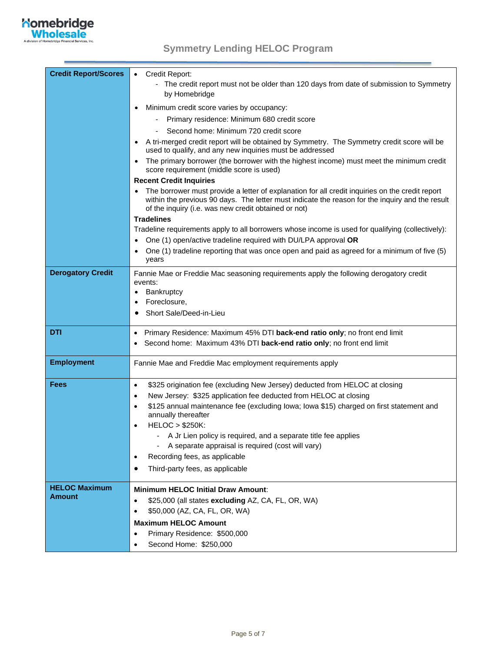

٠

| <b>Credit Report/Scores</b> | Credit Report:<br>$\bullet$<br>- The credit report must not be older than 120 days from date of submission to Symmetry<br>by Homebridge                                                                                                                    |
|-----------------------------|------------------------------------------------------------------------------------------------------------------------------------------------------------------------------------------------------------------------------------------------------------|
|                             | Minimum credit score varies by occupancy:<br>٠                                                                                                                                                                                                             |
|                             | Primary residence: Minimum 680 credit score                                                                                                                                                                                                                |
|                             | Second home: Minimum 720 credit score                                                                                                                                                                                                                      |
|                             | A tri-merged credit report will be obtained by Symmetry. The Symmetry credit score will be<br>used to qualify, and any new inquiries must be addressed                                                                                                     |
|                             | The primary borrower (the borrower with the highest income) must meet the minimum credit<br>$\bullet$<br>score requirement (middle score is used)                                                                                                          |
|                             | <b>Recent Credit Inquiries</b>                                                                                                                                                                                                                             |
|                             | The borrower must provide a letter of explanation for all credit inquiries on the credit report<br>within the previous 90 days. The letter must indicate the reason for the inquiry and the result<br>of the inquiry (i.e. was new credit obtained or not) |
|                             | <b>Tradelines</b>                                                                                                                                                                                                                                          |
|                             | Tradeline requirements apply to all borrowers whose income is used for qualifying (collectively):                                                                                                                                                          |
|                             | One (1) open/active tradeline required with DU/LPA approval OR<br>$\bullet$                                                                                                                                                                                |
|                             | One (1) tradeline reporting that was once open and paid as agreed for a minimum of five (5)<br>years                                                                                                                                                       |
| <b>Derogatory Credit</b>    | Fannie Mae or Freddie Mac seasoning requirements apply the following derogatory credit<br>events:                                                                                                                                                          |
|                             | Bankruptcy<br>$\bullet$                                                                                                                                                                                                                                    |
|                             | Foreclosure,<br>$\bullet$                                                                                                                                                                                                                                  |
|                             | Short Sale/Deed-in-Lieu<br>٠                                                                                                                                                                                                                               |
|                             |                                                                                                                                                                                                                                                            |
| DTI                         | Primary Residence: Maximum 45% DTI back-end ratio only; no front end limit<br>$\bullet$                                                                                                                                                                    |
|                             | Second home: Maximum 43% DTI back-end ratio only; no front end limit                                                                                                                                                                                       |
| <b>Employment</b>           | Fannie Mae and Freddie Mac employment requirements apply                                                                                                                                                                                                   |
| <b>Fees</b>                 | \$325 origination fee (excluding New Jersey) deducted from HELOC at closing<br>$\bullet$                                                                                                                                                                   |
|                             | New Jersey: \$325 application fee deducted from HELOC at closing<br>$\bullet$                                                                                                                                                                              |
|                             | \$125 annual maintenance fee (excluding lowa; lowa \$15) charged on first statement and<br>$\bullet$<br>annually thereafter                                                                                                                                |
|                             | <b>HELOC &gt; \$250K:</b><br>$\bullet$                                                                                                                                                                                                                     |
|                             | - A Jr Lien policy is required, and a separate title fee applies<br>- A separate appraisal is required (cost will vary)                                                                                                                                    |
|                             | Recording fees, as applicable<br>$\bullet$                                                                                                                                                                                                                 |
|                             | Third-party fees, as applicable<br>$\bullet$                                                                                                                                                                                                               |
|                             |                                                                                                                                                                                                                                                            |
| <b>HELOC Maximum</b>        | <b>Minimum HELOC Initial Draw Amount:</b>                                                                                                                                                                                                                  |
| <b>Amount</b>               | \$25,000 (all states excluding AZ, CA, FL, OR, WA)<br>$\bullet$                                                                                                                                                                                            |
|                             | \$50,000 (AZ, CA, FL, OR, WA)<br>$\bullet$                                                                                                                                                                                                                 |
|                             | <b>Maximum HELOC Amount</b>                                                                                                                                                                                                                                |
|                             | Primary Residence: \$500,000<br>$\bullet$                                                                                                                                                                                                                  |
|                             | Second Home: \$250,000<br>$\bullet$                                                                                                                                                                                                                        |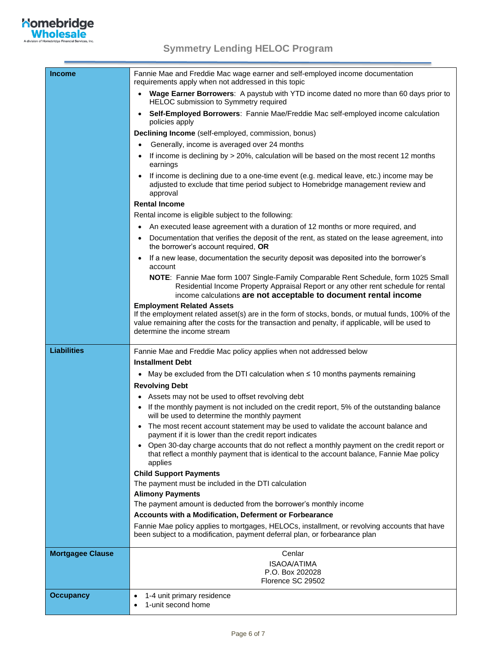# **Komebridge**

٠

| <b>Income</b>           | Fannie Mae and Freddie Mac wage earner and self-employed income documentation<br>requirements apply when not addressed in this topic                                                                                                                                    |
|-------------------------|-------------------------------------------------------------------------------------------------------------------------------------------------------------------------------------------------------------------------------------------------------------------------|
|                         | Wage Earner Borrowers: A paystub with YTD income dated no more than 60 days prior to<br>HELOC submission to Symmetry required                                                                                                                                           |
|                         | Self-Employed Borrowers: Fannie Mae/Freddie Mac self-employed income calculation<br>$\bullet$<br>policies apply                                                                                                                                                         |
|                         | Declining Income (self-employed, commission, bonus)                                                                                                                                                                                                                     |
|                         | Generally, income is averaged over 24 months                                                                                                                                                                                                                            |
|                         | If income is declining by > 20%, calculation will be based on the most recent 12 months<br>earnings                                                                                                                                                                     |
|                         | If income is declining due to a one-time event (e.g. medical leave, etc.) income may be<br>adjusted to exclude that time period subject to Homebridge management review and<br>approval                                                                                 |
|                         | <b>Rental Income</b>                                                                                                                                                                                                                                                    |
|                         | Rental income is eligible subject to the following:                                                                                                                                                                                                                     |
|                         | An executed lease agreement with a duration of 12 months or more required, and                                                                                                                                                                                          |
|                         | Documentation that verifies the deposit of the rent, as stated on the lease agreement, into<br>the borrower's account required, OR                                                                                                                                      |
|                         | If a new lease, documentation the security deposit was deposited into the borrower's<br>account                                                                                                                                                                         |
|                         | NOTE: Fannie Mae form 1007 Single-Family Comparable Rent Schedule, form 1025 Small<br>Residential Income Property Appraisal Report or any other rent schedule for rental<br>income calculations are not acceptable to document rental income                            |
|                         | <b>Employment Related Assets</b><br>If the employment related asset(s) are in the form of stocks, bonds, or mutual funds, 100% of the<br>value remaining after the costs for the transaction and penalty, if applicable, will be used to<br>determine the income stream |
| <b>Liabilities</b>      | Fannie Mae and Freddie Mac policy applies when not addressed below                                                                                                                                                                                                      |
|                         | <b>Installment Debt</b>                                                                                                                                                                                                                                                 |
|                         | • May be excluded from the DTI calculation when $\leq 10$ months payments remaining                                                                                                                                                                                     |
|                         | <b>Revolving Debt</b>                                                                                                                                                                                                                                                   |
|                         | • Assets may not be used to offset revolving debt                                                                                                                                                                                                                       |
|                         | • If the monthly payment is not included on the credit report, 5% of the outstanding balance<br>will be used to determine the monthly payment                                                                                                                           |
|                         | The most recent account statement may be used to validate the account balance and<br>payment if it is lower than the credit report indicates                                                                                                                            |
|                         | Open 30-day charge accounts that do not reflect a monthly payment on the credit report or<br>that reflect a monthly payment that is identical to the account balance, Fannie Mae policy<br>applies                                                                      |
|                         | <b>Child Support Payments</b>                                                                                                                                                                                                                                           |
|                         | The payment must be included in the DTI calculation                                                                                                                                                                                                                     |
|                         | <b>Alimony Payments</b>                                                                                                                                                                                                                                                 |
|                         | The payment amount is deducted from the borrower's monthly income                                                                                                                                                                                                       |
|                         | <b>Accounts with a Modification, Deferment or Forbearance</b>                                                                                                                                                                                                           |
|                         | Fannie Mae policy applies to mortgages, HELOCs, installment, or revolving accounts that have<br>been subject to a modification, payment deferral plan, or forbearance plan                                                                                              |
| <b>Mortgagee Clause</b> | Cenlar                                                                                                                                                                                                                                                                  |
|                         | <b>ISAOA/ATIMA</b>                                                                                                                                                                                                                                                      |
|                         | P.O. Box 202028                                                                                                                                                                                                                                                         |
|                         | Florence SC 29502                                                                                                                                                                                                                                                       |
| <b>Occupancy</b>        | 1-4 unit primary residence<br>$\bullet$<br>1-unit second home<br>$\bullet$                                                                                                                                                                                              |